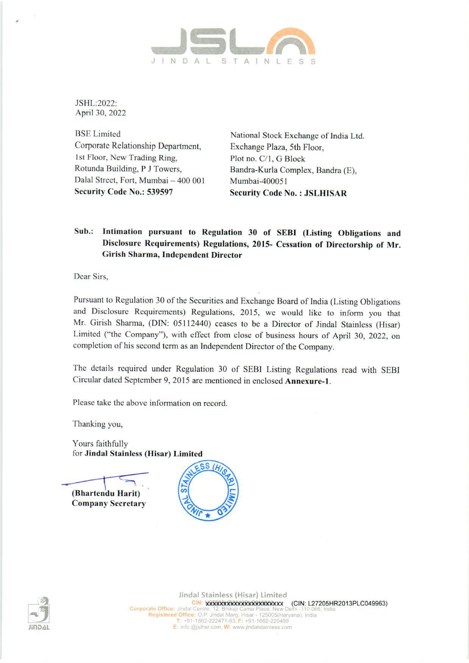

JSHL:2022: April 30, 2022

BSE Limited National Stock Exchange of India Ltd. Corporate Relationship Department, Exchange Plaza, 5th Floor, 1st Floor, New Trading Ring, Plot no. C/1, G Block Rotunda Building, P J Towers, Bandra-Kurla Complex, Bandra (E), Dalal Street, Fort, Mumbai - 400 001 Mumbai-400051

Security Code No.: 539597 Security Code No.: JSLHISAR

## Sub.: Intimation pursuant to Regulation 30 of SEBI (Listing Obligations and Disclosure Requirements) Regulations, 2015- Cessation of Directorship of Mr. Girish Sharma, Independent Director

Dear Sirs,

Pursuant to Regulation 30 of the Securities and Exchange Board of India (Listing Obligations and Disclosure Requirements) Regulations, 2015, we would like to inform you that Mr. Girish Sharma, (DIN: 05112440) ceases to be a Director of Jindal Stainless (Hisar) Limited ('the Company"), with effect from close of business hours of April 30, 2022, on completion of his second term as an Independent Director of the Company.

The details required under Regulation 30 of SEBI Listing Regulations read with SEBI Circular dated September 9, 2015 are mentioned in enclosed Annexure-1.

Please take the above information on record.

Thanking you,

Yours faithfully for Jindal Stainless (Hisar) Limited

a. (Bhartendu Harit) Company Secretary





CIN: Model Centre<br>
Unidal Centre<br>
T: +91-1662<br>
: Info.@jslhs<br>
00 indal Stainless (Hisar) Limited CIN: VXXXXXXXXXXXXXXXXXXXXX (CIN: L27205HR2013PLC049963) Registered Office: O.P. Jindai Marg, Hisar - 12<br>T: +91-1662-222471-83. F: +91-166 E: info.@jslhsr.com,  $W$ : www.jindalstainless.com